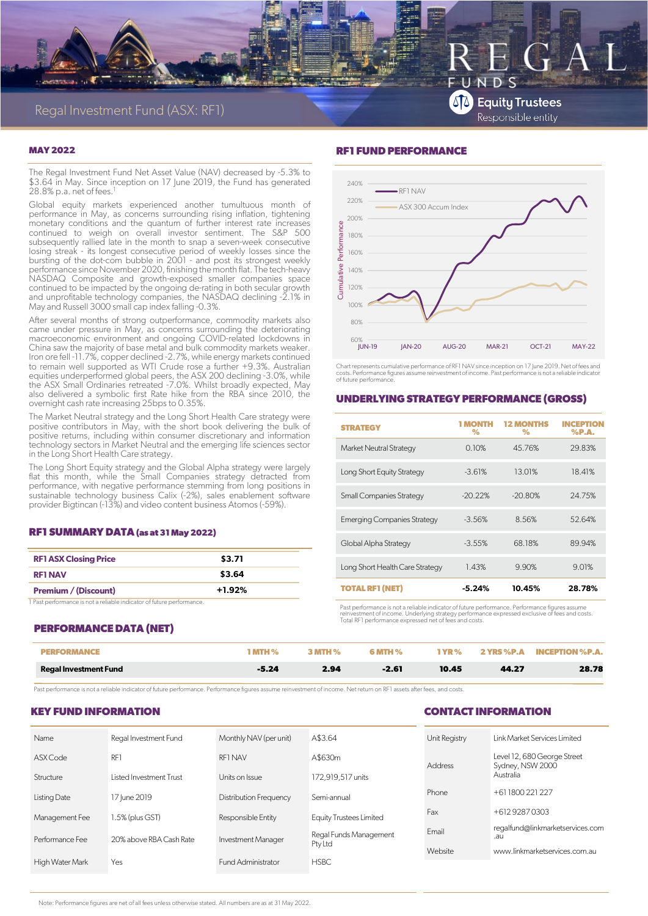

# $\varsigma$ **SA** Equity Trustees Responsible entity

#### **MAY 2022**

The Regal Investment Fund Net Asset Value (NAV) decreased by -5.3% to \$3.64 in May. Since inception on 17 June 2019, the Fund has generated 28.8% p.a. net of fees. 1

Global equity markets experienced another tumultuous month of performance in May, as concerns surrounding rising inflation, tightening monetary conditions and the quantum of further interest rate increases continued to weigh on overall investor sentiment. The S&P 500 subsequently rallied late in the month to snap a seven-week consecutive losing streak - its longest consecutive period of weekly losses since the bursting of the dot-com bubble in 2001 - and post its strongest weekly performance since November 2020, finishing the month flat. The tech-heavy NASDAQ Composite and growth-exposed smaller companies space continued to be impacted by the ongoing de-rating in both secular growth and unprofitable technology companies, the NASDAQ declining -2.1% in May and Russell 3000 small cap index falling -0.3%.

After several months of strong outperformance, commodity markets also came under pressure in May, as concerns surrounding the deteriorating macroeconomic environment and ongoing COVID-related lockdowns in China saw the majority of base metal and bulk commodity markets weaker. Iron ore fell -11.7%, copper declined -2.7%, while energy markets continued to remain well supported as WTI Crude rose a further +9.3%. Australian equities underperformed global peers, the ASX 200 declining -3.0%, while the ASX Small Ordinaries retreated -7.0%. Whilst broadly expected, May also delivered a symbolic first Rate hike from the RBA since 2010, the overnight cash rate increasing 25bps to 0.35%.

The Market Neutral strategy and the Long Short Health Care strategy were positive contributors in May, with the short book delivering the bulk of positive returns, including within consumer discretionary and information technology sectors in Market Neutral and the emerging life sciences sector in the Long Short Health Care strategy.

The Long Short Equity strategy and the Global Alpha strategy were largely flat this month, while the Small Companies strategy detracted from performance, with negative performance stemming from long positions in sustainable technology business Calix (-2%), sales enablement software provider Bigtincan (-13%) and video content business Atomos (-59%).

#### **RF1 SUMMARY DATA (as at 31 May 2022)**

| <b>RF1 ASX Closing Price</b> | \$3.71   |
|------------------------------|----------|
| <b>RF1 NAV</b>               | \$3.64   |
| <b>Premium / (Discount)</b>  | $+1.92%$ |

1 Past performance is not a reliable indicator of future performance.

### **RF1 FUND PERFORMANCE**



Chart represents cumulative performance of RF1 NAV since inception on 17 June 2019. Net of fees and costs. Performance figures assume reinvestment of income. Past performance is not a reliable indicator of future performance.

#### **UNDERLYING STRATEGY PERFORMANCE (GROSS)**

| <b>STRATEGY</b>                    | <b>MONTH</b><br>$\%$ | <b>12 MONTHS</b><br>% | <b>INCEPTION</b><br>%P.A. |
|------------------------------------|----------------------|-----------------------|---------------------------|
| Market Neutral Strategy            | 0.10%                | 45.76%                | 29.83%                    |
| Long Short Equity Strategy         | $-3.61%$             | 13.01%                | 18.41%                    |
| <b>Small Companies Strategy</b>    | $-20.22%$            | $-20.80%$             | 24.75%                    |
| <b>Emerging Companies Strategy</b> | $-3.56%$             | 8.56%                 | 52.64%                    |
| Global Alpha Strategy              | $-3.55%$             | 68.18%                | 89.94%                    |
| Long Short Health Care Strategy    | 1.43%                | 9.90%                 | 9.01%                     |
| <b>TOTAL RF1 (NET)</b>             | $-5.24%$             | 10.45%                | 28.78%                    |

Past performance is not a reliable indicator of future performance. Performance figures assume<br>reinvestment of income. Underlying strategy performance expressed exclusive of fees and costs.<br>Total RF1 performance expressed

#### **PERFORMANCE DATA (NET)**

|                              |         |      | н %     | $\mathbf{V} \mathbf{R}$ % | 2 YRS %P.A | <b>INCEPTION %P.A.</b> |
|------------------------------|---------|------|---------|---------------------------|------------|------------------------|
| <b>Regal Investment Fund</b> | $-5.24$ | 2.94 | $-2.61$ | 10.45                     | 44.27      | 28.78                  |

Past performance is not a reliable indicator of future performance. Performance figures assume reinvestment of income. Net return on RF1 assets after fees, and costs.

#### **KEY FUND INFORMATION**

#### **CONTACT INFORMATION**

| Name            | Regal Investment Fund   | Monthly NAV (per unit)        | A\$3.64                        | Unit Registry | Link Market Services Limited                    |  |
|-----------------|-------------------------|-------------------------------|--------------------------------|---------------|-------------------------------------------------|--|
| ASX Code        | RF1                     | RF1 NAV                       | A\$630m                        | Address       | Level 12, 680 George Street<br>Sydney, NSW 2000 |  |
| Structure       | Listed Investment Trust | Units on Issue                | 172,919,517 units              |               | Australia                                       |  |
| Listing Date    | 17 June 2019            | <b>Distribution Frequency</b> | Semi-annual                    | Phone         | +61 1800 221 227                                |  |
| Management Fee  | 1.5% (plus GST)         | Responsible Entity            | <b>Equity Trustees Limited</b> | Fax           | +612 9287 0303                                  |  |
| Performance Fee | 20% above RBA Cash Rate | Investment Manager            | Regal Funds Management         | Email         | regalfund@linkmarketservices.com<br>.au         |  |
|                 |                         |                               | Pty Ltd                        | Website       | www.linkmarketservices.com.au                   |  |
| High Water Mark | Yes                     | Fund Administrator            | <b>HSBC</b>                    |               |                                                 |  |